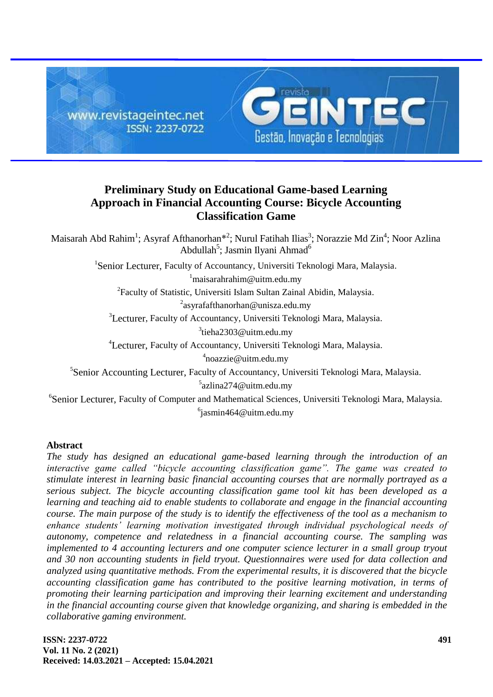

# **Preliminary Study on Educational Game-based Learning Approach in Financial Accounting Course: Bicycle Accounting Classification Game**

Maisarah Abd Rahim<sup>1</sup>; Asyraf Afthanorhan<sup>\*2</sup>; Nurul Fatihah Ilias<sup>3</sup>; Norazzie Md Zin<sup>4</sup>; Noor Azlina Abdullah<sup>5</sup>; Jasmin Ilyani Ahmad<sup>6</sup>

<sup>1</sup>Senior Lecturer, Faculty of Accountancy, Universiti Teknologi Mara, Malaysia.

 $1$ [maisarahrahim@uitm.edu.my](mailto:maisarahrahim@uitm.edu.my)

<sup>2</sup> Faculty of Statistic, Universiti Islam Sultan Zainal Abidin, Malaysia.

<sup>2</sup>[asyrafafthanorhan@unisza.edu.my](mailto:asyrafafthanorhan@unisza.edu.my)

<sup>3</sup>Lecturer, Faculty of Accountancy, Universiti Teknologi Mara, Malaysia.

<sup>3</sup>[tieha2303@uitm.edu.my](mailto:tieha2303@uitm.edu.m)

4 Lecturer, Faculty of Accountancy, Universiti Teknologi Mara, Malaysia.

<sup>4</sup>[noazzie@uitm.edu.my](mailto:noazzie@uitm.edu.my)

5 Senior Accounting Lecturer, Faculty of Accountancy, Universiti Teknologi Mara, Malaysia. 5 [azlina274@uitm.edu.my](mailto:azlina274@uitm.edu.my)

6 Senior Lecturer, Faculty of Computer and Mathematical Sciences, Universiti Teknologi Mara, Malaysia.  $6$ jasmin46[4@uitm.edu.my](mailto:azlina274@uitm.edu.my)

# **Abstract**

*The study has designed an educational game-based learning through the introduction of an interactive game called "bicycle accounting classification game". The game was created to stimulate interest in learning basic financial accounting courses that are normally portrayed as a serious subject. The bicycle accounting classification game tool kit has been developed as a learning and teaching aid to enable students to collaborate and engage in the financial accounting course. The main purpose of the study is to identify the effectiveness of the tool as a mechanism to enhance students' learning motivation investigated through individual psychological needs of autonomy, competence and relatedness in a financial accounting course. The sampling was implemented to 4 accounting lecturers and one computer science lecturer in a small group tryout and 30 non accounting students in field tryout. Questionnaires were used for data collection and analyzed using quantitative methods. From the experimental results, it is discovered that the bicycle accounting classification game has contributed to the positive learning motivation, in terms of promoting their learning participation and improving their learning excitement and understanding in the financial accounting course given that knowledge organizing, and sharing is embedded in the collaborative gaming environment.*

**ISSN: 2237-0722 Vol. 11 No. 2 (2021) Received: 14.03.2021 – Accepted: 15.04.2021**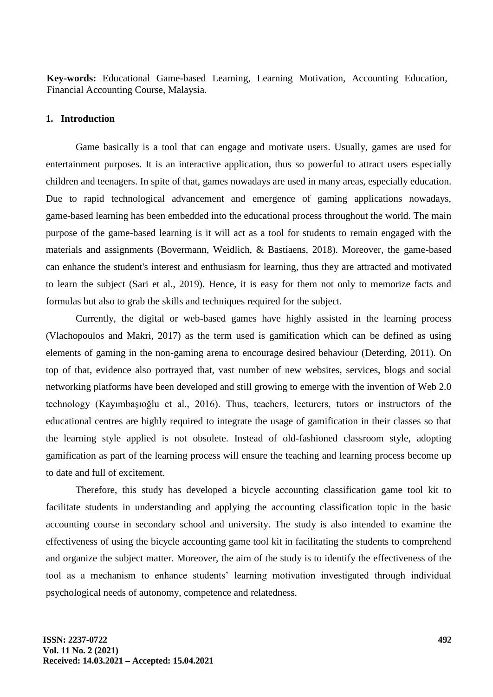**Key-words:** Educational Game-based Learning, Learning Motivation, Accounting Education, Financial Accounting Course, Malaysia.

#### **1. Introduction**

Game basically is a tool that can engage and motivate users. Usually, games are used for entertainment purposes. It is an interactive application, thus so powerful to attract users especially children and teenagers. In spite of that, games nowadays are used in many areas, especially education. Due to rapid technological advancement and emergence of gaming applications nowadays, game-based learning has been embedded into the educational process throughout the world. The main purpose of the game-based learning is it will act as a tool for students to remain engaged with the materials and assignments (Bovermann, Weidlich, & Bastiaens, 2018). Moreover, the game-based can enhance the student's interest and enthusiasm for learning, thus they are attracted and motivated to learn the subject (Sari et al., 2019). Hence, it is easy for them not only to memorize facts and formulas but also to grab the skills and techniques required for the subject.

Currently, the digital or web-based games have highly assisted in the learning process (Vlachopoulos and Makri, 2017) as the term used is gamification which can be defined as using elements of gaming in the non-gaming arena to encourage desired behaviour (Deterding, 2011). On top of that, evidence also portrayed that, vast number of new websites, services, blogs and social networking platforms have been developed and still growing to emerge with the invention of Web 2.0 technology (Kayımbaşıoğlu et al., 2016). Thus, teachers, lecturers, tutors or instructors of the educational centres are highly required to integrate the usage of gamification in their classes so that the learning style applied is not obsolete. Instead of old-fashioned classroom style, adopting gamification as part of the learning process will ensure the teaching and learning process become up to date and full of excitement.

Therefore, this study has developed a bicycle accounting classification game tool kit to facilitate students in understanding and applying the accounting classification topic in the basic accounting course in secondary school and university. The study is also intended to examine the effectiveness of using the bicycle accounting game tool kit in facilitating the students to comprehend and organize the subject matter. Moreover, the aim of the study is to identify the effectiveness of the tool as a mechanism to enhance students" learning motivation investigated through individual psychological needs of autonomy, competence and relatedness.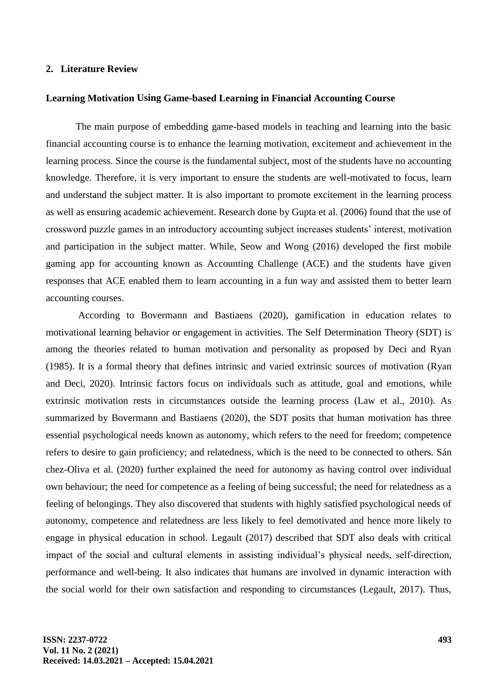### **2. Literature Review**

#### **Learning Motivation Using Game-based Learning in Financial Accounting Course**

The main purpose of embedding game-based models in teaching and learning into the basic financial accounting course is to enhance the learning motivation, excitement and achievement in the learning process. Since the course is the fundamental subject, most of the students have no accounting knowledge. Therefore, it is very important to ensure the students are well-motivated to focus, learn and understand the subject matter. It is also important to promote excitement in the learning process as well as ensuring academic achievement. Research done by Gupta et al. (2006) found that the use of crossword puzzle games in an introductory accounting subject increases students" interest, motivation and participation in the subject matter. While, Seow and Wong (2016) developed the first mobile gaming app for accounting known as Accounting Challenge (ACE) and the students have given responses that ACE enabled them to learn accounting in a fun way and assisted them to better learn accounting courses.

According to Bovermann and Bastiaens (2020), gamification in education relates to motivational learning behavior or engagement in activities. The Self Determination Theory (SDT) is among the theories related to human motivation and personality as proposed by Deci and Ryan (1985). It is a formal theory that defines intrinsic and varied extrinsic sources of motivation (Ryan and Deci, 2020). Intrinsic factors focus on individuals such as attitude, goal and emotions, while extrinsic motivation rests in circumstances outside the learning process (Law et al., 2010). As summarized by Bovermann and Bastiaens (2020), the SDT posits that human motivation has three essential psychological needs known as autonomy, which refers to the need for freedom; competence refers to desire to gain proficiency; and relatedness, which is the need to be connected to others. Sán chez-Oliva et al. (2020) further explained the need for autonomy as having control over individual own behaviour; the need for competence as a feeling of being successful; the need for relatedness as a feeling of belongings. They also discovered that students with highly satisfied psychological needs of autonomy, competence and relatedness are less likely to feel demotivated and hence more likely to engage in physical education in school. Legault (2017) described that SDT also deals with critical impact of the social and cultural elements in assisting individual"s physical needs, self-direction, performance and well-being. It also indicates that humans are involved in dynamic interaction with the social world for their own satisfaction and responding to circumstances (Legault, 2017). Thus,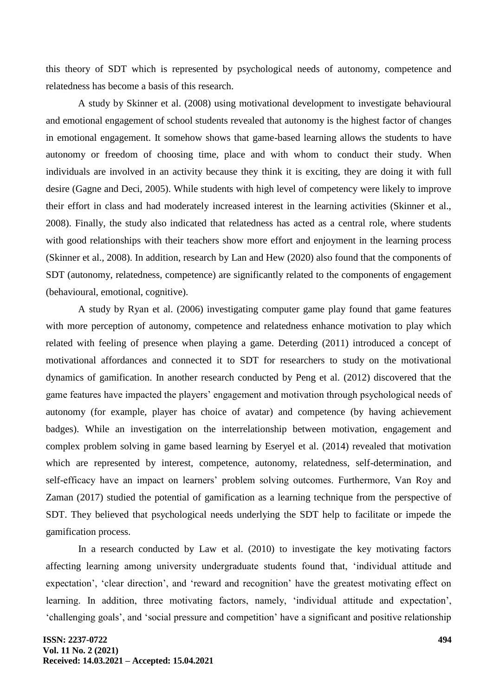this theory of SDT which is represented by psychological needs of autonomy, competence and relatedness has become a basis of this research.

A study by Skinner et al. (2008) using motivational development to investigate behavioural and emotional engagement of school students revealed that autonomy is the highest factor of changes in emotional engagement. It somehow shows that game-based learning allows the students to have autonomy or freedom of choosing time, place and with whom to conduct their study. When individuals are involved in an activity because they think it is exciting, they are doing it with full desire (Gagne and Deci, 2005). While students with high level of competency were likely to improve their effort in class and had moderately increased interest in the learning activities (Skinner et al., 2008). Finally, the study also indicated that relatedness has acted as a central role, where students with good relationships with their teachers show more effort and enjoyment in the learning process (Skinner et al., 2008). In addition, research by Lan and Hew (2020) also found that the components of SDT (autonomy, relatedness, competence) are significantly related to the components of engagement (behavioural, emotional, cognitive).

A study by Ryan et al. (2006) investigating computer game play found that game features with more perception of autonomy, competence and relatedness enhance motivation to play which related with feeling of presence when playing a game. Deterding (2011) introduced a concept of motivational affordances and connected it to SDT for researchers to study on the motivational dynamics of gamification. In another research conducted by Peng et al. (2012) discovered that the game features have impacted the players" engagement and motivation through psychological needs of autonomy (for example, player has choice of avatar) and competence (by having achievement badges). While an investigation on the interrelationship between motivation, engagement and complex problem solving in game based learning by Eseryel et al. (2014) revealed that motivation which are represented by interest, competence, autonomy, relatedness, self-determination, and self-efficacy have an impact on learners' problem solving outcomes. Furthermore, Van Roy and Zaman (2017) studied the potential of gamification as a learning technique from the perspective of SDT. They believed that psychological needs underlying the SDT help to facilitate or impede the gamification process.

In a research conducted by Law et al. (2010) to investigate the key motivating factors affecting learning among university undergraduate students found that, "individual attitude and expectation', 'clear direction', and 'reward and recognition' have the greatest motivating effect on learning. In addition, three motivating factors, namely, 'individual attitude and expectation', "challenging goals", and "social pressure and competition" have a significant and positive relationship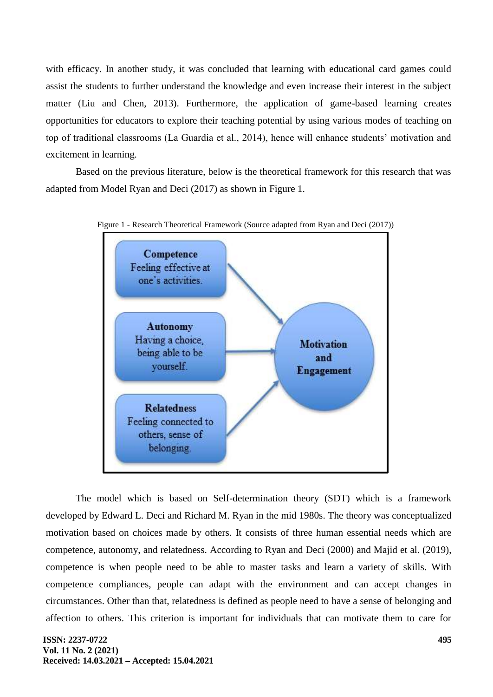with efficacy. In another study, it was concluded that learning with educational card games could assist the students to further understand the knowledge and even increase their interest in the subject matter (Liu and Chen, 2013). Furthermore, the application of game-based learning creates opportunities for educators to explore their teaching potential by using various modes of teaching on top of traditional classrooms (La Guardia et al., 2014), hence will enhance students" motivation and excitement in learning.

Based on the previous literature, below is the theoretical framework for this research that was adapted from Model Ryan and Deci (2017) as shown in Figure 1.





The model which is based on Self-determination theory (SDT) which is a framework developed by Edward L. Deci and Richard M. Ryan in the mid 1980s. The theory was conceptualized motivation based on choices made by others. It consists of three human essential needs which are competence, autonomy, and relatedness. According to Ryan and Deci (2000) and Majid et al. (2019), competence is when people need to be able to master tasks and learn a variety of skills. With competence compliances, people can adapt with the environment and can accept changes in circumstances. Other than that, relatedness is defined as people need to have a sense of belonging and affection to others. This criterion is important for individuals that can motivate them to care for

#### **ISSN: 2237-0722 Vol. 11 No. 2 (2021) Received: 14.03.2021 – Accepted: 15.04.2021**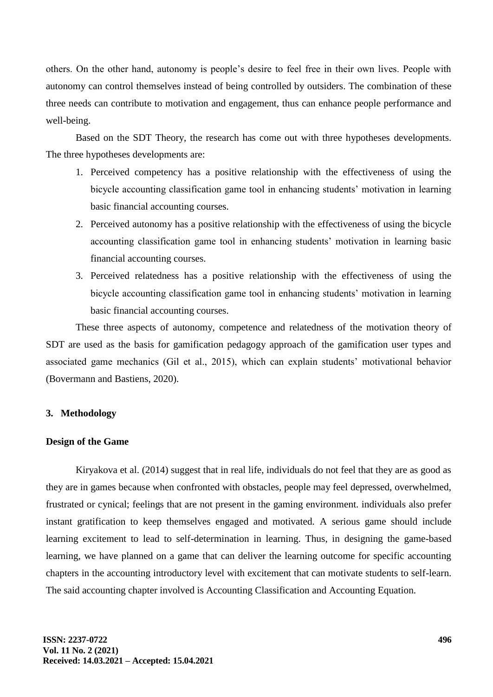others. On the other hand, autonomy is people"s desire to feel free in their own lives. People with autonomy can control themselves instead of being controlled by outsiders. The combination of these three needs can contribute to motivation and engagement, thus can enhance people performance and well-being.

Based on the SDT Theory, the research has come out with three hypotheses developments. The three hypotheses developments are:

- 1. Perceived competency has a positive relationship with the effectiveness of using the bicycle accounting classification game tool in enhancing students" motivation in learning basic financial accounting courses.
- 2. Perceived autonomy has a positive relationship with the effectiveness of using the bicycle accounting classification game tool in enhancing students" motivation in learning basic financial accounting courses.
- 3. Perceived relatedness has a positive relationship with the effectiveness of using the bicycle accounting classification game tool in enhancing students' motivation in learning basic financial accounting courses.

These three aspects of autonomy, competence and relatedness of the motivation theory of SDT are used as the basis for gamification pedagogy approach of the gamification user types and associated game mechanics (Gil et al., 2015), which can explain students' motivational behavior (Bovermann and Bastiens, 2020).

## **3. Methodology**

#### **Design of the Game**

Kiryakova et al. (2014) suggest that in real life, individuals do not feel that they are as good as they are in games because when confronted with obstacles, people may feel depressed, overwhelmed, frustrated or cynical; feelings that are not present in the gaming environment. individuals also prefer instant gratification to keep themselves engaged and motivated. A serious game should include learning excitement to lead to self-determination in learning. Thus, in designing the game-based learning, we have planned on a game that can deliver the learning outcome for specific accounting chapters in the accounting introductory level with excitement that can motivate students to self-learn. The said accounting chapter involved is Accounting Classification and Accounting Equation.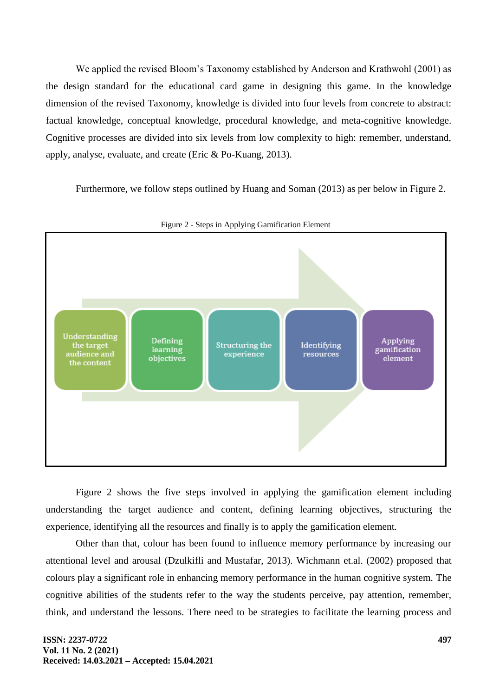We applied the revised Bloom"s Taxonomy established by Anderson and Krathwohl (2001) as the design standard for the educational card game in designing this game. In the knowledge dimension of the revised Taxonomy, knowledge is divided into four levels from concrete to abstract: factual knowledge, conceptual knowledge, procedural knowledge, and meta-cognitive knowledge. Cognitive processes are divided into six levels from low complexity to high: remember, understand, apply, analyse, evaluate, and create (Eric & Po-Kuang, 2013).

Furthermore, we follow steps outlined by Huang and Soman (2013) as per below in Figure 2.



Figure 2 - Steps in Applying Gamification Element

Figure 2 shows the five steps involved in applying the gamification element including understanding the target audience and content, defining learning objectives, structuring the experience, identifying all the resources and finally is to apply the gamification element.

Other than that, colour has been found to influence memory performance by increasing our attentional level and arousal (Dzulkifli and Mustafar, 2013). Wichmann et.al. (2002) proposed that colours play a significant role in enhancing memory performance in the human cognitive system. The cognitive abilities of the students refer to the way the students perceive, pay attention, remember, think, and understand the lessons. There need to be strategies to facilitate the learning process and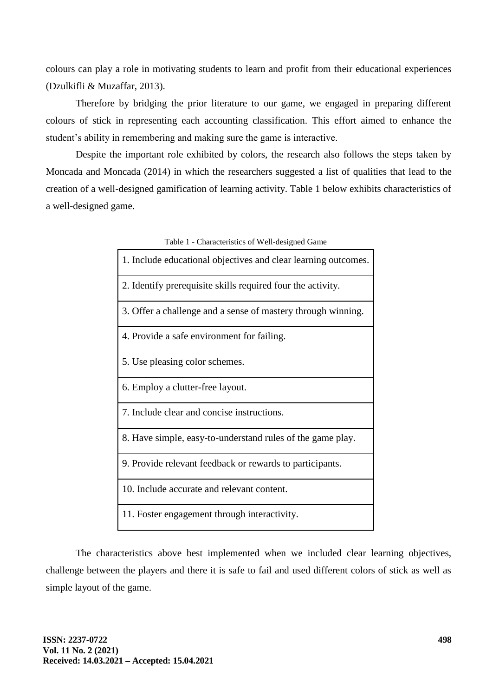colours can play a role in motivating students to learn and profit from their educational experiences (Dzulkifli & Muzaffar, 2013).

Therefore by bridging the prior literature to our game, we engaged in preparing different colours of stick in representing each accounting classification. This effort aimed to enhance the student's ability in remembering and making sure the game is interactive.

Despite the important role exhibited by colors, the research also follows the steps taken by Moncada and Moncada (2014) in which the researchers suggested a list of qualities that lead to the creation of a well-designed gamification of learning activity. Table 1 below exhibits characteristics of a well-designed game.

| I able 1 - Characterístics of Well-designed Game               |  |  |  |  |  |  |  |
|----------------------------------------------------------------|--|--|--|--|--|--|--|
| 1. Include educational objectives and clear learning outcomes. |  |  |  |  |  |  |  |
| 2. Identify prerequisite skills required four the activity.    |  |  |  |  |  |  |  |
| 3. Offer a challenge and a sense of mastery through winning.   |  |  |  |  |  |  |  |
| 4. Provide a safe environment for failing.                     |  |  |  |  |  |  |  |
| 5. Use pleasing color schemes.                                 |  |  |  |  |  |  |  |
| 6. Employ a clutter-free layout.                               |  |  |  |  |  |  |  |
| 7. Include clear and concise instructions.                     |  |  |  |  |  |  |  |
| 8. Have simple, easy-to-understand rules of the game play.     |  |  |  |  |  |  |  |
| 9. Provide relevant feedback or rewards to participants.       |  |  |  |  |  |  |  |
| 10. Include accurate and relevant content.                     |  |  |  |  |  |  |  |
| 11. Foster engagement through interactivity.                   |  |  |  |  |  |  |  |

Table 1 - Characteristics of Well-designed Game

The characteristics above best implemented when we included clear learning objectives, challenge between the players and there it is safe to fail and used different colors of stick as well as simple layout of the game.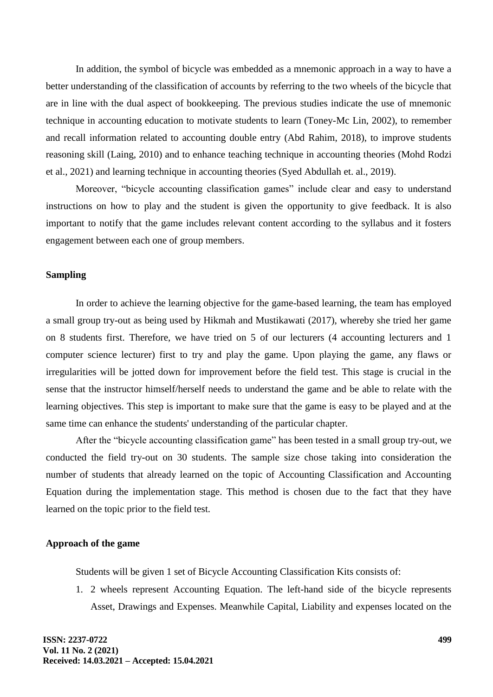In addition, the symbol of bicycle was embedded as a mnemonic approach in a way to have a better understanding of the classification of accounts by referring to the two wheels of the bicycle that are in line with the dual aspect of bookkeeping. The previous studies indicate the use of mnemonic technique in accounting education to motivate students to learn (Toney-Mc Lin, 2002), to remember and recall information related to accounting double entry (Abd Rahim, 2018), to improve students reasoning skill (Laing, 2010) and to enhance teaching technique in accounting theories (Mohd Rodzi et al., 2021) and learning technique in accounting theories (Syed Abdullah et. al., 2019).

Moreover, "bicycle accounting classification games" include clear and easy to understand instructions on how to play and the student is given the opportunity to give feedback. It is also important to notify that the game includes relevant content according to the syllabus and it fosters engagement between each one of group members.

## **Sampling**

In order to achieve the learning objective for the game-based learning, the team has employed a small group try-out as being used by Hikmah and Mustikawati (2017), whereby she tried her game on 8 students first. Therefore, we have tried on 5 of our lecturers (4 accounting lecturers and 1 computer science lecturer) first to try and play the game. Upon playing the game, any flaws or irregularities will be jotted down for improvement before the field test. This stage is crucial in the sense that the instructor himself/herself needs to understand the game and be able to relate with the learning objectives. This step is important to make sure that the game is easy to be played and at the same time can enhance the students' understanding of the particular chapter.

After the "bicycle accounting classification game" has been tested in a small group try-out, we conducted the field try-out on 30 students. The sample size chose taking into consideration the number of students that already learned on the topic of Accounting Classification and Accounting Equation during the implementation stage. This method is chosen due to the fact that they have learned on the topic prior to the field test.

## **Approach of the game**

Students will be given 1 set of Bicycle Accounting Classification Kits consists of:

1. 2 wheels represent Accounting Equation. The left-hand side of the bicycle represents Asset, Drawings and Expenses. Meanwhile Capital, Liability and expenses located on the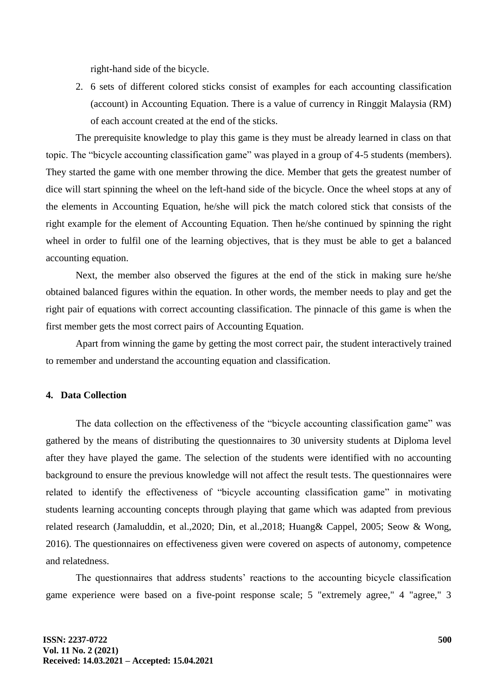right-hand side of the bicycle.

2. 6 sets of different colored sticks consist of examples for each accounting classification (account) in Accounting Equation. There is a value of currency in Ringgit Malaysia (RM) of each account created at the end of the sticks.

The prerequisite knowledge to play this game is they must be already learned in class on that topic. The "bicycle accounting classification game" was played in a group of 4-5 students (members). They started the game with one member throwing the dice. Member that gets the greatest number of dice will start spinning the wheel on the left-hand side of the bicycle. Once the wheel stops at any of the elements in Accounting Equation, he/she will pick the match colored stick that consists of the right example for the element of Accounting Equation. Then he/she continued by spinning the right wheel in order to fulfil one of the learning objectives, that is they must be able to get a balanced accounting equation.

Next, the member also observed the figures at the end of the stick in making sure he/she obtained balanced figures within the equation. In other words, the member needs to play and get the right pair of equations with correct accounting classification. The pinnacle of this game is when the first member gets the most correct pairs of Accounting Equation.

Apart from winning the game by getting the most correct pair, the student interactively trained to remember and understand the accounting equation and classification.

# **4. Data Collection**

The data collection on the effectiveness of the "bicycle accounting classification game" was gathered by the means of distributing the questionnaires to 30 university students at Diploma level after they have played the game. The selection of the students were identified with no accounting background to ensure the previous knowledge will not affect the result tests. The questionnaires were related to identify the effectiveness of "bicycle accounting classification game" in motivating students learning accounting concepts through playing that game which was adapted from previous related research (Jamaluddin, et al.,2020; Din, et al.,2018; Huang& Cappel, 2005; Seow & Wong, 2016). The questionnaires on effectiveness given were covered on aspects of autonomy, competence and relatedness.

The questionnaires that address students" reactions to the accounting bicycle classification game experience were based on a five-point response scale; 5 "extremely agree," 4 "agree," 3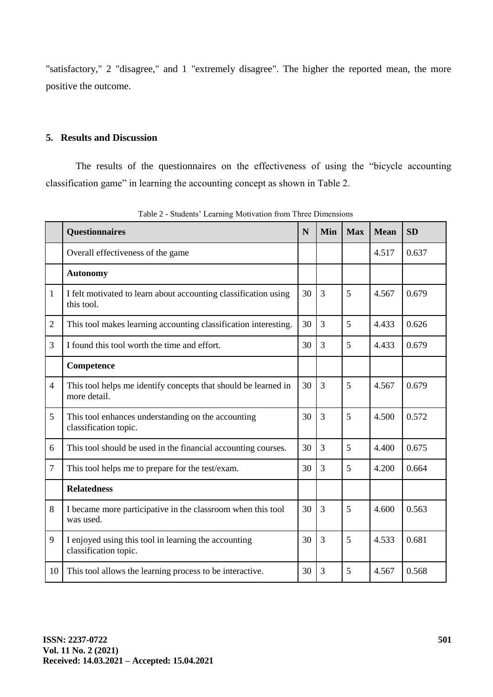"satisfactory," 2 "disagree," and 1 "extremely disagree". The higher the reported mean, the more positive the outcome.

# **5. Results and Discussion**

The results of the questionnaires on the effectiveness of using the "bicycle accounting classification game" in learning the accounting concept as shown in Table 2.

|                | <b>Questionnaires</b>                                                          | N  | Min            | <b>Max</b> | <b>Mean</b> | <b>SD</b> |
|----------------|--------------------------------------------------------------------------------|----|----------------|------------|-------------|-----------|
|                | Overall effectiveness of the game                                              |    |                |            | 4.517       | 0.637     |
|                | <b>Autonomy</b>                                                                |    |                |            |             |           |
| 1              | I felt motivated to learn about accounting classification using<br>this tool.  | 30 | $\overline{3}$ | 5          | 4.567       | 0.679     |
| $\overline{2}$ | This tool makes learning accounting classification interesting.                | 30 | $\overline{3}$ | 5          | 4.433       | 0.626     |
| 3              | I found this tool worth the time and effort.                                   | 30 | 3              | 5          | 4.433       | 0.679     |
|                | Competence                                                                     |    |                |            |             |           |
| $\overline{4}$ | This tool helps me identify concepts that should be learned in<br>more detail. | 30 | $\overline{3}$ | 5          | 4.567       | 0.679     |
| 5              | This tool enhances understanding on the accounting<br>classification topic.    | 30 | $\overline{3}$ | 5          | 4.500       | 0.572     |
| 6              | This tool should be used in the financial accounting courses.                  | 30 | $\overline{3}$ | 5          | 4.400       | 0.675     |
| $\overline{7}$ | This tool helps me to prepare for the test/exam.                               | 30 | $\overline{3}$ | 5          | 4.200       | 0.664     |
|                | <b>Relatedness</b>                                                             |    |                |            |             |           |
| 8              | I became more participative in the classroom when this tool<br>was used.       | 30 | $\overline{3}$ | 5          | 4.600       | 0.563     |
| 9              | I enjoyed using this tool in learning the accounting<br>classification topic.  |    | 3              | 5          | 4.533       | 0.681     |
| 10             | This tool allows the learning process to be interactive.                       |    | 3              | 5          | 4.567       | 0.568     |

Table 2 - Students" Learning Motivation from Three Dimensions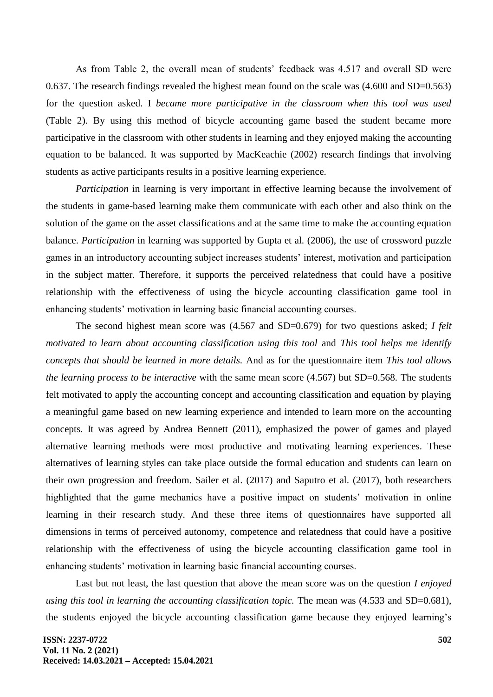As from Table 2, the overall mean of students' feedback was 4.517 and overall SD were 0.637. The research findings revealed the highest mean found on the scale was (4.600 and SD=0.563) for the question asked. I *became more participative in the classroom when this tool was used*  (Table 2). By using this method of bicycle accounting game based the student became more participative in the classroom with other students in learning and they enjoyed making the accounting equation to be balanced. It was supported by MacKeachie (2002) research findings that involving students as active participants results in a positive learning experience.

*Participation* in learning is very important in effective learning because the involvement of the students in game-based learning make them communicate with each other and also think on the solution of the game on the asset classifications and at the same time to make the accounting equation balance. *Participation* in learning was supported by Gupta et al. (2006), the use of crossword puzzle games in an introductory accounting subject increases students" interest, motivation and participation in the subject matter. Therefore, it supports the perceived relatedness that could have a positive relationship with the effectiveness of using the bicycle accounting classification game tool in enhancing students' motivation in learning basic financial accounting courses.

The second highest mean score was (4.567 and SD=0.679) for two questions asked; *I felt motivated to learn about accounting classification using this tool* and *This tool helps me identify concepts that should be learned in more details.* And as for the questionnaire item *This tool allows the learning process to be interactive* with the same mean score (4.567) but SD=0.568*.* The students felt motivated to apply the accounting concept and accounting classification and equation by playing a meaningful game based on new learning experience and intended to learn more on the accounting concepts. It was agreed by Andrea Bennett (2011), emphasized the power of games and played alternative learning methods were most productive and motivating learning experiences. These alternatives of learning styles can take place outside the formal education and students can learn on their own progression and freedom. Sailer et al. (2017) and Saputro et al. (2017), both researchers highlighted that the game mechanics have a positive impact on students' motivation in online learning in their research study. And these three items of questionnaires have supported all dimensions in terms of perceived autonomy, competence and relatedness that could have a positive relationship with the effectiveness of using the bicycle accounting classification game tool in enhancing students' motivation in learning basic financial accounting courses.

Last but not least, the last question that above the mean score was on the question *I enjoyed using this tool in learning the accounting classification topic.* The mean was  $(4.533 \text{ and } SD=0.681)$ , the students enjoyed the bicycle accounting classification game because they enjoyed learning"s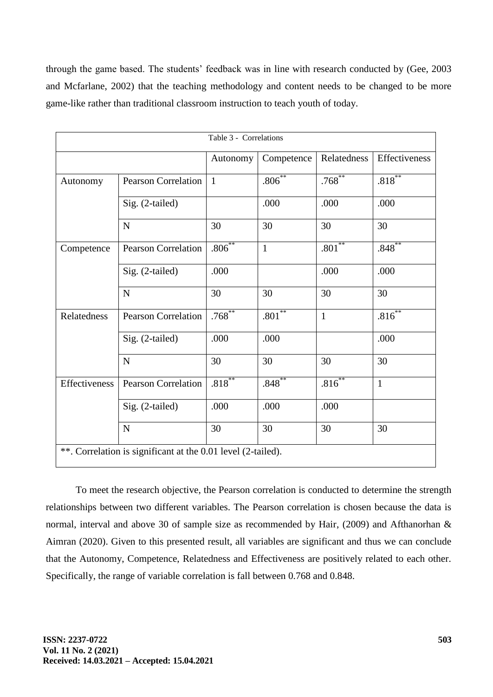through the game based. The students" feedback was in line with research conducted by (Gee, 2003 and Mcfarlane, 2002) that the teaching methodology and content needs to be changed to be more game-like rather than traditional classroom instruction to teach youth of today.

| Table 3 - Correlations                                       |                            |           |              |              |               |  |  |  |  |
|--------------------------------------------------------------|----------------------------|-----------|--------------|--------------|---------------|--|--|--|--|
|                                                              |                            | Autonomy  | Competence   | Relatedness  | Effectiveness |  |  |  |  |
| Autonomy                                                     | <b>Pearson Correlation</b> |           | $.806***$    | $.768***$    | $.818***$     |  |  |  |  |
|                                                              | Sig. (2-tailed)            |           | .000         | .000         | .000          |  |  |  |  |
|                                                              | $\mathbf N$                | 30        | 30           | 30           | 30            |  |  |  |  |
| Competence                                                   | <b>Pearson Correlation</b> | $.806***$ | $\mathbf{1}$ | $.801***$    | $.848***$     |  |  |  |  |
|                                                              | Sig. (2-tailed)            | .000      |              | .000         | .000          |  |  |  |  |
|                                                              | $\mathbf N$                | 30        | 30           | 30           | 30            |  |  |  |  |
| Relatedness                                                  | <b>Pearson Correlation</b> | $.768***$ | $.801***$    | $\mathbf{1}$ | $.816*$       |  |  |  |  |
|                                                              | Sig. (2-tailed)            | .000      | .000         |              | .000          |  |  |  |  |
|                                                              | $\mathbf N$                | 30        | 30           | 30           | 30            |  |  |  |  |
| Effectiveness                                                | <b>Pearson Correlation</b> | $.818***$ | .848         | $.816***$    | $\mathbf{1}$  |  |  |  |  |
|                                                              | Sig. (2-tailed)            | .000      | .000         | .000         |               |  |  |  |  |
|                                                              | $\mathbf N$                | 30        | 30           | 30           | 30            |  |  |  |  |
| **. Correlation is significant at the 0.01 level (2-tailed). |                            |           |              |              |               |  |  |  |  |

To meet the research objective, the Pearson correlation is conducted to determine the strength relationships between two different variables. The Pearson correlation is chosen because the data is normal, interval and above 30 of sample size as recommended by Hair, (2009) and Afthanorhan & Aimran (2020). Given to this presented result, all variables are significant and thus we can conclude that the Autonomy, Competence, Relatedness and Effectiveness are positively related to each other. Specifically, the range of variable correlation is fall between 0.768 and 0.848.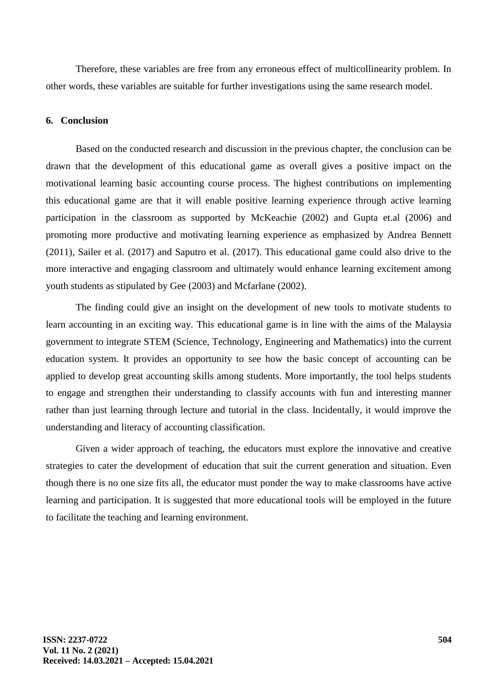Therefore, these variables are free from any erroneous effect of multicollinearity problem. In other words, these variables are suitable for further investigations using the same research model.

#### **6. Conclusion**

Based on the conducted research and discussion in the previous chapter, the conclusion can be drawn that the development of this educational game as overall gives a positive impact on the motivational learning basic accounting course process. The highest contributions on implementing this educational game are that it will enable positive learning experience through active learning participation in the classroom as supported by McKeachie (2002) and Gupta et.al (2006) and promoting more productive and motivating learning experience as emphasized by Andrea Bennett (2011), Sailer et al. (2017) and Saputro et al. (2017). This educational game could also drive to the more interactive and engaging classroom and ultimately would enhance learning excitement among youth students as stipulated by Gee (2003) and Mcfarlane (2002).

The finding could give an insight on the development of new tools to motivate students to learn accounting in an exciting way. This educational game is in line with the aims of the Malaysia government to integrate STEM (Science, Technology, Engineering and Mathematics) into the current education system. It provides an opportunity to see how the basic concept of accounting can be applied to develop great accounting skills among students. More importantly, the tool helps students to engage and strengthen their understanding to classify accounts with fun and interesting manner rather than just learning through lecture and tutorial in the class. Incidentally, it would improve the understanding and literacy of accounting classification.

Given a wider approach of teaching, the educators must explore the innovative and creative strategies to cater the development of education that suit the current generation and situation. Even though there is no one size fits all, the educator must ponder the way to make classrooms have active learning and participation. It is suggested that more educational tools will be employed in the future to facilitate the teaching and learning environment.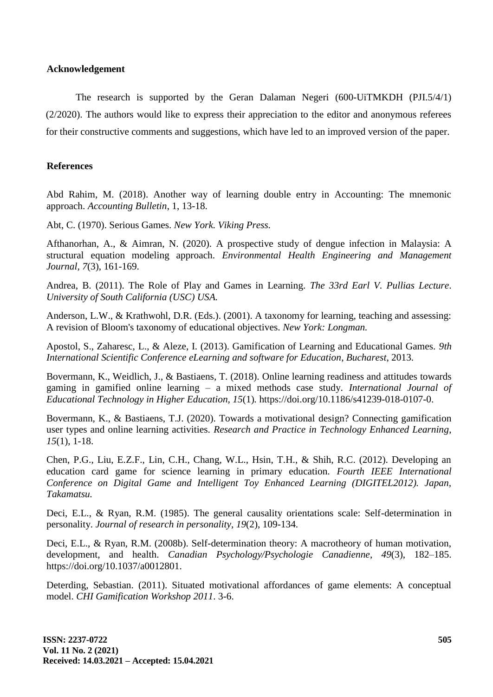## **Acknowledgement**

The research is supported by the Geran Dalaman Negeri (600-UiTMKDH (PJI.5/4/1) (2/2020). The authors would like to express their appreciation to the editor and anonymous referees for their constructive comments and suggestions, which have led to an improved version of the paper.

# **References**

Abd Rahim, M. (2018). Another way of learning double entry in Accounting: The mnemonic approach. *Accounting Bulletin*, 1, 13-18.

Abt, C. (1970). Serious Games. *New York. Viking Press.*

Afthanorhan, A., & Aimran, N. (2020). A prospective study of dengue infection in Malaysia: A structural equation modeling approach. *Environmental Health Engineering and Management Journal, 7*(3), 161-169.

Andrea, B. (2011). The Role of Play and Games in Learning. *The 33rd Earl V. Pullias Lecture*. *University of South California (USC) USA.*

Anderson, L.W., & Krathwohl, D.R. (Eds.). (2001). A taxonomy for learning, teaching and assessing: A revision of Bloom's taxonomy of educational objectives. *New York: Longman.*

Apostol, S., Zaharesc, L., & Aleze, I. (2013). Gamification of Learning and Educational Games. *9th International Scientific Conference eLearning and software for Education*, *Bucharest*, 2013.

Bovermann, K., Weidlich, J., & Bastiaens, T. (2018). Online learning readiness and attitudes towards gaming in gamified online learning – a mixed methods case study. *International Journal of Educational Technology in Higher Education, 15*(1)*.* https://doi.org/10.1186/s41239-018-0107-0.

Bovermann, K., & Bastiaens, T.J. (2020). Towards a motivational design? Connecting gamification user types and online learning activities. *Research and Practice in Technology Enhanced Learning*, *15*(1), 1-18.

Chen, P.G., Liu, E.Z.F., Lin, C.H., Chang, W.L., Hsin, T.H., & Shih, R.C. (2012). Developing an education card game for science learning in primary education. *Fourth IEEE International Conference on Digital Game and Intelligent Toy Enhanced Learning (DIGITEL2012). Japan, Takamatsu.*

Deci, E.L., & Ryan, R.M. (1985). The general causality orientations scale: Self-determination in personality. *Journal of research in personality*, *19*(2), 109-134.

Deci, E.L., & Ryan, R.M. (2008b). Self-determination theory: A macrotheory of human motivation, development, and health. *Canadian Psychology/Psychologie Canadienne*, *49*(3), 182–185. https://doi.org/10.1037/a0012801.

Deterding, Sebastian. (2011). Situated motivational affordances of game elements: A conceptual model. *CHI Gamification Workshop 2011*. 3-6.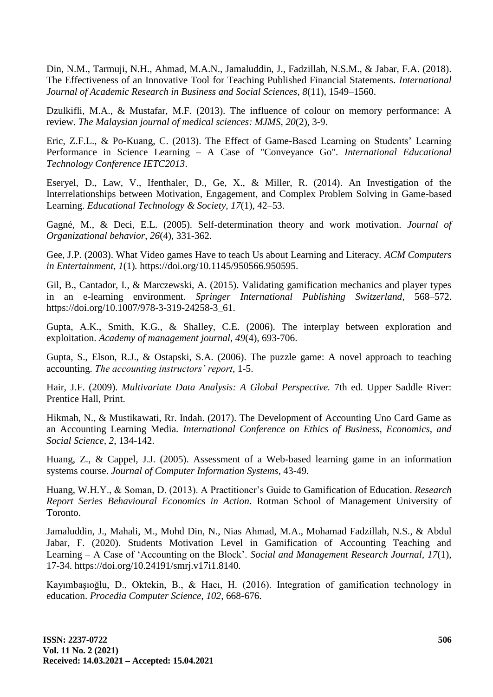Din, N.M., Tarmuji, N.H., Ahmad, M.A.N., Jamaluddin, J., Fadzillah, N.S.M., & Jabar, F.A. (2018). The Effectiveness of an Innovative Tool for Teaching Published Financial Statements. *International Journal of Academic Research in Business and Social Sciences*, *8*(11), 1549–1560.

Dzulkifli, M.A., & Mustafar, M.F. (2013). The influence of colour on memory performance: A review. *The Malaysian journal of medical sciences: MJMS*, *20*(2), 3-9.

Eric, Z.F.L., & Po-Kuang, C. (2013). The Effect of Game-Based Learning on Students" Learning Performance in Science Learning – A Case of "Conveyance Go". *International Educational Technology Conference IETC2013*.

Eseryel, D., Law, V., Ifenthaler, D., Ge, X., & Miller, R. (2014). An Investigation of the Interrelationships between Motivation, Engagement, and Complex Problem Solving in Game-based Learning. *Educational Technology & Society, 17*(1), 42–53.

Gagné, M., & Deci, E.L. (2005). Self-determination theory and work motivation. *Journal of Organizational behavior*, *26*(4), 331-362.

Gee, J.P. (2003). What Video games Have to teach Us about Learning and Literacy. *ACM Computers in Entertainment, 1*(1)*.* https://doi.org/10.1145/950566.950595.

Gil, B., Cantador, I., & Marczewski, A. (2015). Validating gamification mechanics and player types in an e-learning environment. *Springer International Publishing Switzerland,* 568–572. https://doi.org/10.1007/978-3-319-24258-3\_61.

Gupta, A.K., Smith, K.G., & Shalley, C.E. (2006). The interplay between exploration and exploitation. *Academy of management journal*, *49*(4), 693-706.

Gupta, S., Elson, R.J., & Ostapski, S.A. (2006). The puzzle game: A novel approach to teaching accounting. *The accounting instructors' report*, 1-5.

Hair, J.F. (2009). *Multivariate Data Analysis: A Global Perspective.* 7th ed. Upper Saddle River: Prentice Hall, Print.

Hikmah, N., & Mustikawati, Rr. Indah. (2017). The Development of Accounting Uno Card Game as an Accounting Learning Media. *International Conference on Ethics of Business, Economics, and Social Science, 2*, 134-142.

Huang, Z., & Cappel, J.J. (2005). Assessment of a Web-based learning game in an information systems course. *Journal of Computer Information Systems,* 43-49.

Huang, W.H.Y., & Soman, D. (2013). A Practitioner"s Guide to Gamification of Education. *Research Report Series Behavioural Economics in Action*. Rotman School of Management University of Toronto.

Jamaluddin, J., Mahali, M., Mohd Din, N., Nias Ahmad, M.A., Mohamad Fadzillah, N.S., & Abdul Jabar, F. (2020). Students Motivation Level in Gamification of Accounting Teaching and Learning – A Case of "Accounting on the Block". *Social and Management Research Journal, 17*(1), 17-34. https://doi.org/10.24191/smrj.v17i1.8140*.*

Kayımbaşıoğlu, D., Oktekin, B., & Hacı, H. (2016). Integration of gamification technology in education. *Procedia Computer Science*, *102*, 668-676.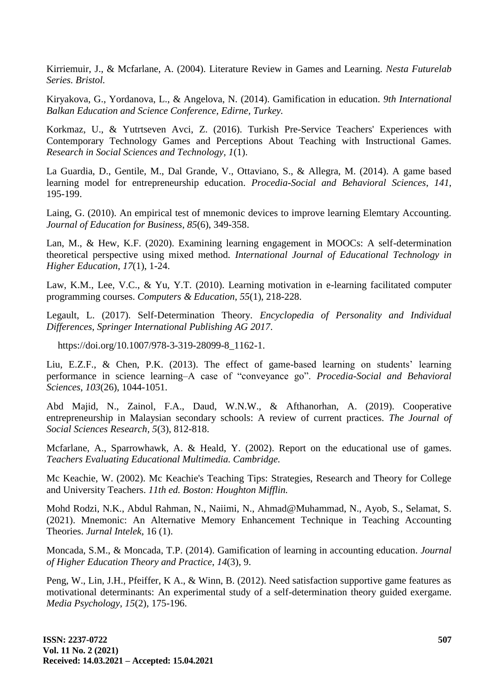Kirriemuir, J., & Mcfarlane, A. (2004). Literature Review in Games and Learning. *Nesta Futurelab Series. Bristol.*

Kiryakova, G., Yordanova, L., & Angelova, N. (2014). Gamification in education. *9th International Balkan Education and Science Conference, Edirne, Turkey.*

Korkmaz, U., & Yutrtseven Avci, Z. (2016). Turkish Pre-Service Teachers' Experiences with Contemporary Technology Games and Perceptions About Teaching with Instructional Games. *Research in Social Sciences and Technology, 1*(1).

La Guardia, D., Gentile, M., Dal Grande, V., Ottaviano, S., & Allegra, M. (2014). A game based learning model for entrepreneurship education. *Procedia-Social and Behavioral Sciences*, *141*, 195-199.

Laing, G. (2010). An empirical test of mnemonic devices to improve learning Elemtary Accounting. *Journal of Education for Business*, *85*(6), 349-358.

Lan, M., & Hew, K.F. (2020). Examining learning engagement in MOOCs: A self-determination theoretical perspective using mixed method. *International Journal of Educational Technology in Higher Education*, *17*(1), 1-24.

Law, K.M., Lee, V.C., & Yu, Y.T. (2010). Learning motivation in e-learning facilitated computer programming courses. *Computers & Education*, *55*(1), 218-228.

Legault, L. (2017). Self-Determination Theory. *Encyclopedia of Personality and Individual Differences*, *Springer International Publishing AG 2017*.

https://doi.org/10.1007/978-3-319-28099-8\_1162-1.

Liu, E.Z.F., & Chen, P.K. (2013). The effect of game-based learning on students' learning performance in science learning–A case of "conveyance go". *Procedia-Social and Behavioral Sciences*, *103*(26), 1044-1051.

Abd Majid, N., Zainol, F.A., Daud, W.N.W., & Afthanorhan, A. (2019). Cooperative entrepreneurship in Malaysian secondary schools: A review of current practices. *The Journal of Social Sciences Research, 5*(3), 812-818.

Mcfarlane, A., Sparrowhawk, A. & Heald, Y. (2002). Report on the educational use of games. *Teachers Evaluating Educational Multimedia. Cambridge.*

Mc Keachie, W. (2002). Mc Keachie's Teaching Tips: Strategies, Research and Theory for College and University Teachers. *11th ed. Boston: Houghton Mifflin.*

Mohd Rodzi, N.K., Abdul Rahman, N., Naiimi, N., Ahmad@Muhammad, N., Ayob, S., Selamat, S. (2021). Mnemonic: An Alternative Memory Enhancement Technique in Teaching Accounting Theories. *Jurnal Intelek*, 16 (1).

Moncada, S.M., & Moncada, T.P. (2014). Gamification of learning in accounting education. *Journal of Higher Education Theory and Practice*, *14*(3), 9.

Peng, W., Lin, J.H., Pfeiffer, K A., & Winn, B. (2012). Need satisfaction supportive game features as motivational determinants: An experimental study of a self-determination theory guided exergame. *Media Psychology*, *15*(2), 175-196.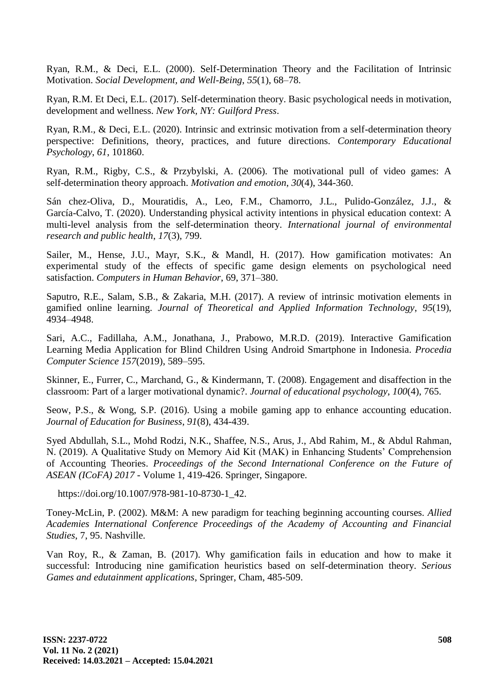Ryan, R.M., & Deci, E.L. (2000). Self-Determination Theory and the Facilitation of Intrinsic Motivation. *Social Development, and Well-Being*, *55*(1), 68–78.

Ryan, R.M. Et Deci, E.L. (2017). Self-determination theory. Basic psychological needs in motivation, development and wellness. *New York, NY: Guilford Press*.

Ryan, R.M., & Deci, E.L. (2020). Intrinsic and extrinsic motivation from a self-determination theory perspective: Definitions, theory, practices, and future directions. *Contemporary Educational Psychology*, *61*, 101860.

Ryan, R.M., Rigby, C.S., & Przybylski, A. (2006). The motivational pull of video games: A self-determination theory approach. *Motivation and emotion*, *30*(4), 344-360.

Sán chez-Oliva, D., Mouratidis, A., Leo, F.M., Chamorro, J.L., Pulido-González, J.J., & García-Calvo, T. (2020). Understanding physical activity intentions in physical education context: A multi-level analysis from the self-determination theory. *International journal of environmental research and public health*, *17*(3), 799.

Sailer, M., Hense, J.U., Mayr, S.K., & Mandl, H. (2017). How gamification motivates: An experimental study of the effects of specific game design elements on psychological need satisfaction. *Computers in Human Behavior*, 69, 371–380.

Saputro, R.E., Salam, S.B., & Zakaria, M.H. (2017). A review of intrinsic motivation elements in gamified online learning. *Journal of Theoretical and Applied Information Technology*, *95*(19), 4934–4948.

Sari, A.C., Fadillaha, A.M., Jonathana, J., Prabowo, M.R.D. (2019). Interactive Gamification Learning Media Application for Blind Children Using Android Smartphone in Indonesia. *Procedia Computer Science 157*(2019), 589–595.

Skinner, E., Furrer, C., Marchand, G., & Kindermann, T. (2008). Engagement and disaffection in the classroom: Part of a larger motivational dynamic?. *Journal of educational psychology*, *100*(4), 765.

Seow, P.S., & Wong, S.P. (2016). Using a mobile gaming app to enhance accounting education. *Journal of Education for Business*, *91*(8), 434-439.

Syed Abdullah, S.L., Mohd Rodzi, N.K., Shaffee, N.S., Arus, J., Abd Rahim, M., & Abdul Rahman, N. (2019). A Qualitative Study on Memory Aid Kit (MAK) in Enhancing Students" Comprehension of Accounting Theories. *Proceedings of the Second International Conference on the Future of ASEAN (ICoFA) 2017* - Volume 1, 419-426. Springer, Singapore.

[https://doi.org/10.1007/978-981-10-8730-1\\_42.](https://doi.org/10.1007/978-981-10-8730-1_42)

Toney-McLin, P. (2002). M&M: A new paradigm for teaching beginning accounting courses. *Allied Academies International Conference Proceedings of the Academy of Accounting and Financial Studies*, 7, 95. Nashville.

Van Roy, R., & Zaman, B. (2017). Why gamification fails in education and how to make it successful: Introducing nine gamification heuristics based on self-determination theory. *Serious Games and edutainment applications*, Springer, Cham, 485-509.